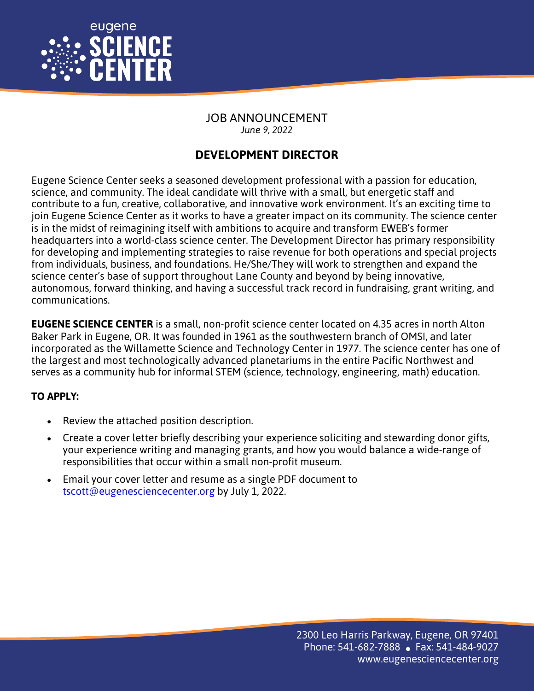

JOB ANNOUNCEMENT *June 9, 2022*

## **DEVELOPMENT DIRECTOR**

Eugene Science Center seeks a seasoned development professional with a passion for education, science, and community. The ideal candidate will thrive with a small, but energetic staff and contribute to a fun, creative, collaborative, and innovative work environment. It's an exciting time to join Eugene Science Center as it works to have a greater impact on its community. The science center is in the midst of reimagining itself with ambitions to acquire and transform EWEB's former headquarters into a world-class science center. The Development Director has primary responsibility for developing and implementing strategies to raise revenue for both operations and special projects from individuals, business, and foundations. He/She/They will work to strengthen and expand the science center's base of support throughout Lane County and beyond by being innovative, autonomous, forward thinking, and having a successful track record in fundraising, grant writing, and communications.

**EUGENE SCIENCE CENTER** is a small, non-profit science center located on 4.35 acres in north Alton Baker Park in Eugene, OR. It was founded in 1961 as the southwestern branch of OMSI, and later incorporated as the Willamette Science and Technology Center in 1977. The science center has one of the largest and most technologically advanced planetariums in the entire Pacific Northwest and serves as a community hub for informal STEM (science, technology, engineering, math) education.

## **TO APPLY:**

- Review the attached position description.
- Create a cover letter briefly describing your experience soliciting and stewarding donor gifts, your experience writing and managing grants, and how you would balance a wide-range of responsibilities that occur within a small non-profit museum.
- Email your cover letter and resume as a single PDF document to tscott@eugenesciencecenter.org by July 1, 2022.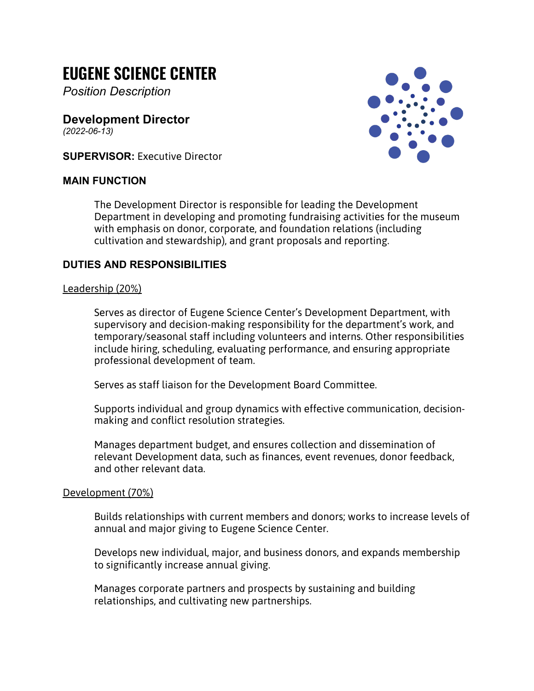# **EUGENE SCIENCE CENTER**

*Position Description*

**Development Director** *(2022-06-13)*

**SUPERVISOR:** Executive Director

#### **MAIN FUNCTION**



The Development Director is responsible for leading the Development Department in developing and promoting fundraising activities for the museum with emphasis on donor, corporate, and foundation relations (including cultivation and stewardship), and grant proposals and reporting.

#### **DUTIES AND RESPONSIBILITIES**

#### Leadership (20%)

Serves as director of Eugene Science Center's Development Department, with supervisory and decision-making responsibility for the department's work, and temporary/seasonal staff including volunteers and interns. Other responsibilities include hiring, scheduling, evaluating performance, and ensuring appropriate professional development of team.

Serves as staff liaison for the Development Board Committee.

Supports individual and group dynamics with effective communication, decisionmaking and conflict resolution strategies.

Manages department budget, and ensures collection and dissemination of relevant Development data, such as finances, event revenues, donor feedback, and other relevant data.

#### Development (70%)

Builds relationships with current members and donors; works to increase levels of annual and major giving to Eugene Science Center.

Develops new individual, major, and business donors, and expands membership to significantly increase annual giving.

Manages corporate partners and prospects by sustaining and building relationships, and cultivating new partnerships.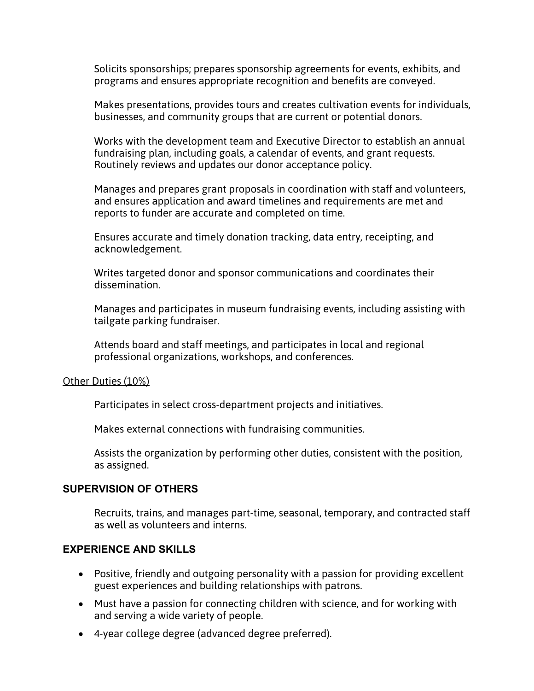Solicits sponsorships; prepares sponsorship agreements for events, exhibits, and programs and ensures appropriate recognition and benefits are conveyed.

Makes presentations, provides tours and creates cultivation events for individuals, businesses, and community groups that are current or potential donors.

Works with the development team and Executive Director to establish an annual fundraising plan, including goals, a calendar of events, and grant requests. Routinely reviews and updates our donor acceptance policy.

Manages and prepares grant proposals in coordination with staff and volunteers, and ensures application and award timelines and requirements are met and reports to funder are accurate and completed on time.

Ensures accurate and timely donation tracking, data entry, receipting, and acknowledgement.

Writes targeted donor and sponsor communications and coordinates their dissemination.

Manages and participates in museum fundraising events, including assisting with tailgate parking fundraiser.

Attends board and staff meetings, and participates in local and regional professional organizations, workshops, and conferences.

#### Other Duties (10%)

Participates in select cross-department projects and initiatives.

Makes external connections with fundraising communities.

Assists the organization by performing other duties, consistent with the position, as assigned.

#### **SUPERVISION OF OTHERS**

Recruits, trains, and manages part-time, seasonal, temporary, and contracted staff as well as volunteers and interns.

#### **EXPERIENCE AND SKILLS**

- Positive, friendly and outgoing personality with a passion for providing excellent guest experiences and building relationships with patrons.
- Must have a passion for connecting children with science, and for working with and serving a wide variety of people.
- 4-year college degree (advanced degree preferred).